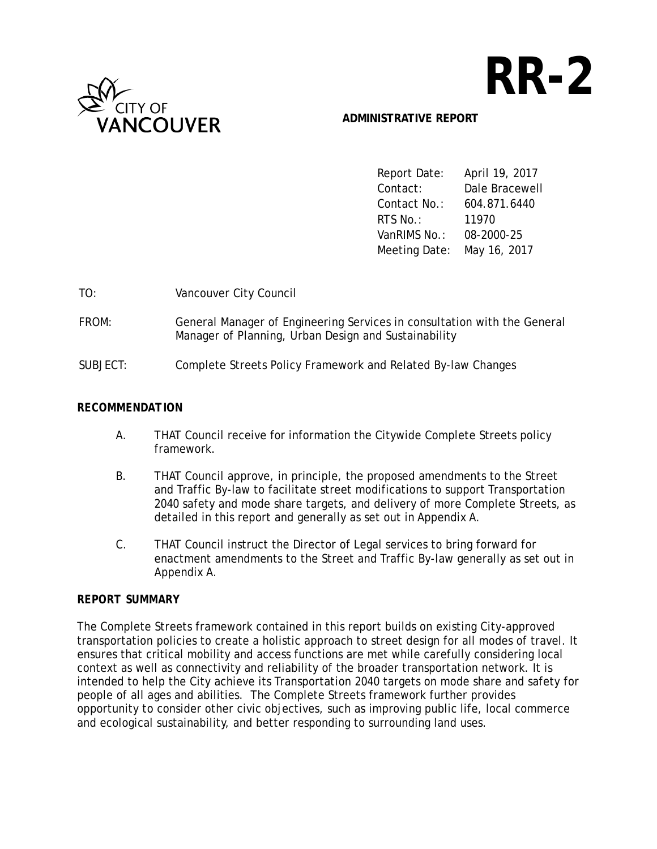

# **RR-2**

## **ADMINISTRATIVE REPORT**

Report Date: April 19, 2017 Contact: Dale Bracewell Contact No.: 604.871.6440 RTS No.: 11970 VanRIMS No.: 08-2000-25 Meeting Date: May 16, 2017

| TO:      | Vancouver City Council                                                                                                           |
|----------|----------------------------------------------------------------------------------------------------------------------------------|
| FROM:    | General Manager of Engineering Services in consultation with the General<br>Manager of Planning, Urban Design and Sustainability |
| SUBJECT: | Complete Streets Policy Framework and Related By-law Changes                                                                     |

### *RECOMMENDATION*

- A. THAT Council receive for information the Citywide Complete Streets policy framework.
- B. THAT Council approve, in principle, the proposed amendments to the Street and Traffic By-law to facilitate street modifications to support Transportation 2040 safety and mode share targets, and delivery of more Complete Streets, as detailed in this report and generally as set out in Appendix A.
- C. THAT Council instruct the Director of Legal services to bring forward for enactment amendments to the Street and Traffic By-law generally as set out in Appendix A.

## *REPORT SUMMARY*

The Complete Streets framework contained in this report builds on existing City-approved transportation policies to create a holistic approach to street design for all modes of travel. It ensures that critical mobility and access functions are met while carefully considering local context as well as connectivity and reliability of the broader transportation network. It is intended to help the City achieve its Transportation 2040 targets on mode share and safety for people of all ages and abilities. The Complete Streets framework further provides opportunity to consider other civic objectives, such as improving public life, local commerce and ecological sustainability, and better responding to surrounding land uses.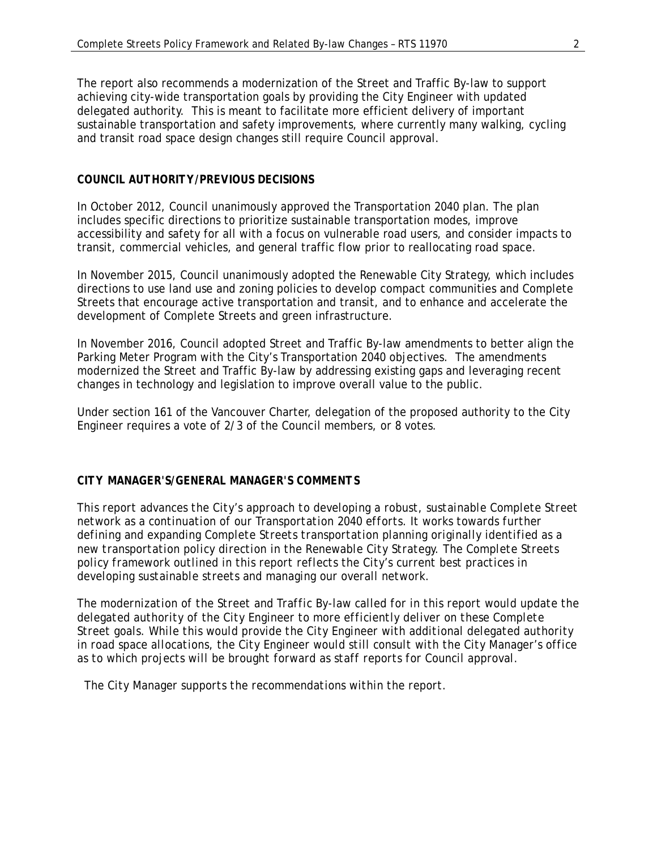The report also recommends a modernization of the Street and Traffic By-law to support achieving city-wide transportation goals by providing the City Engineer with updated delegated authority. This is meant to facilitate more efficient delivery of important sustainable transportation and safety improvements, where currently many walking, cycling and transit road space design changes still require Council approval.

## *COUNCIL AUTHORITY/PREVIOUS DECISIONS*

In October 2012, Council unanimously approved the Transportation 2040 plan. The plan includes specific directions to prioritize sustainable transportation modes, improve accessibility and safety for all with a focus on vulnerable road users, and consider impacts to transit, commercial vehicles, and general traffic flow prior to reallocating road space.

In November 2015, Council unanimously adopted the Renewable City Strategy, which includes directions to use land use and zoning policies to develop compact communities and Complete Streets that encourage active transportation and transit, and to enhance and accelerate the development of Complete Streets and green infrastructure.

In November 2016, Council adopted Street and Traffic By-law amendments to better align the Parking Meter Program with the City's Transportation 2040 objectives. The amendments modernized the Street and Traffic By-law by addressing existing gaps and leveraging recent changes in technology and legislation to improve overall value to the public.

Under section 161 of the Vancouver Charter, delegation of the proposed authority to the City Engineer requires a vote of 2/3 of the Council members, or 8 votes.

#### *CITY MANAGER'S/GENERAL MANAGER'S COMMENTS*

*This report advances the City's approach to developing a robust, sustainable Complete Street network as a continuation of our Transportation 2040 efforts. It works towards further defining and expanding Complete Streets transportation planning originally identified as a new transportation policy direction in the Renewable City Strategy. The Complete Streets policy framework outlined in this report reflects the City's current best practices in developing sustainable streets and managing our overall network.*

*The modernization of the Street and Traffic By-law called for in this report would update the delegated authority of the City Engineer to more efficiently deliver on these Complete Street goals. While this would provide the City Engineer with additional delegated authority in road space allocations, the City Engineer would still consult with the City Manager's office as to which projects will be brought forward as staff reports for Council approval.* 

 *The City Manager supports the recommendations within the report.*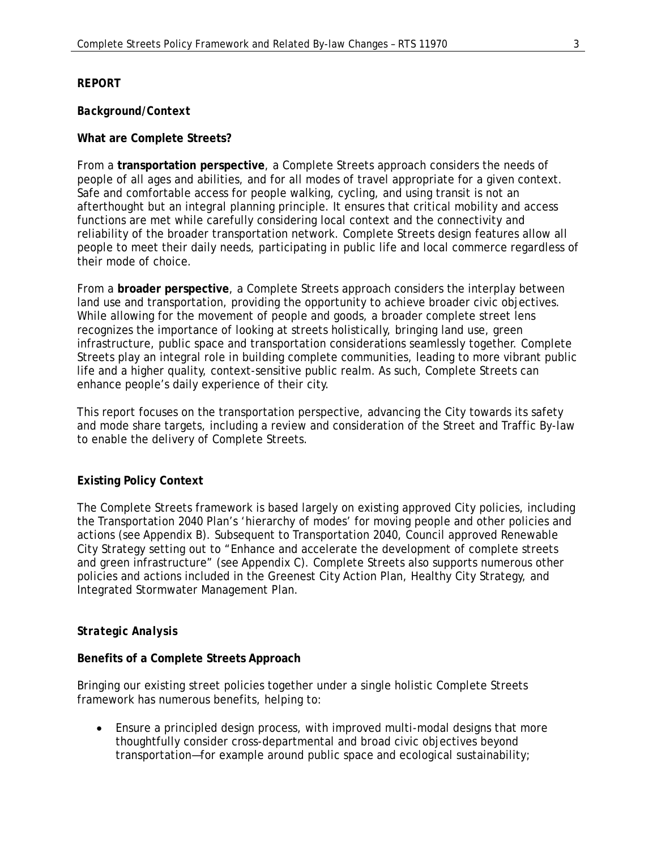### *REPORT*

#### *Background/Context*

#### **What are Complete Streets?**

From a **transportation perspective**, a Complete Streets approach considers the needs of people of all ages and abilities, and for all modes of travel appropriate for a given context. Safe and comfortable access for people walking, cycling, and using transit is not an afterthought but an integral planning principle. It ensures that critical mobility and access functions are met while carefully considering local context and the connectivity and reliability of the broader transportation network. Complete Streets design features allow all people to meet their daily needs, participating in public life and local commerce regardless of their mode of choice.

From a **broader perspective**, a Complete Streets approach considers the interplay between land use and transportation, providing the opportunity to achieve broader civic objectives. While allowing for the movement of people and goods, a broader complete street lens recognizes the importance of looking at streets holistically, bringing land use, green infrastructure, public space and transportation considerations seamlessly together. Complete Streets play an integral role in building complete communities, leading to more vibrant public life and a higher quality, context-sensitive public realm. As such, Complete Streets can enhance people's daily experience of their city.

This report focuses on the transportation perspective, advancing the City towards its safety and mode share targets, including a review and consideration of the Street and Traffic By-law to enable the delivery of Complete Streets.

#### **Existing Policy Context**

The Complete Streets framework is based largely on existing approved City policies, including the Transportation 2040 Plan's 'hierarchy of modes' for moving people and other policies and actions (see Appendix B). Subsequent to Transportation 2040, Council approved Renewable City Strategy setting out to "Enhance and accelerate the development of complete streets and green infrastructure" (see Appendix C). Complete Streets also supports numerous other policies and actions included in the Greenest City Action Plan, Healthy City Strategy, and Integrated Stormwater Management Plan.

#### *Strategic Analysis*

#### **Benefits of a Complete Streets Approach**

Bringing our existing street policies together under a single holistic Complete Streets framework has numerous benefits, helping to:

• Ensure a principled design process, with improved multi-modal designs that more thoughtfully consider cross-departmental and broad civic objectives beyond transportation—for example around public space and ecological sustainability;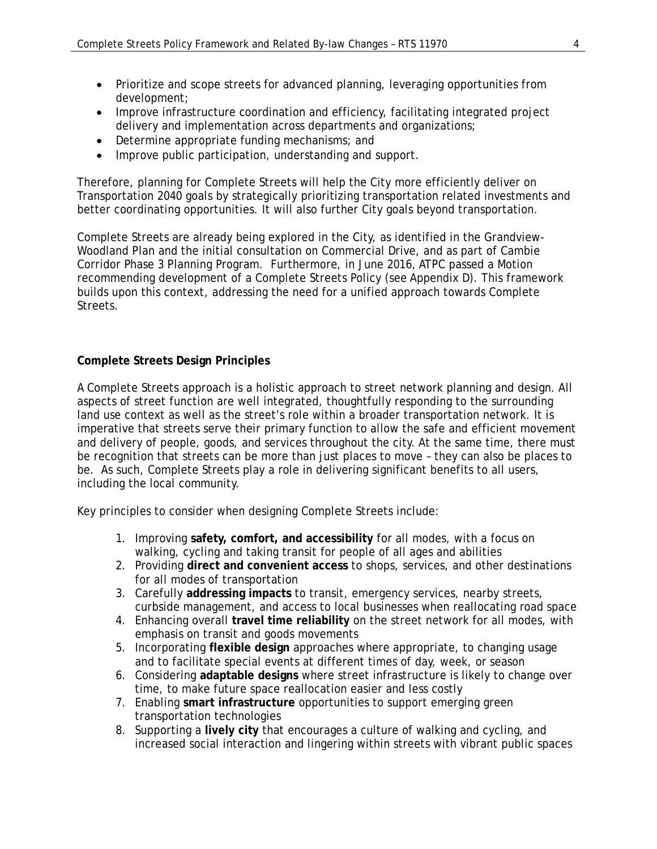- Prioritize and scope streets for advanced planning, leveraging opportunities from development;
- Improve infrastructure coordination and efficiency, facilitating integrated project delivery and implementation across departments and organizations;
- Determine appropriate funding mechanisms; and
- Improve public participation, understanding and support.

Therefore, planning for Complete Streets will help the City more efficiently deliver on Transportation 2040 goals by strategically prioritizing transportation related investments and better coordinating opportunities. It will also further City goals beyond transportation.

Complete Streets are already being explored in the City, as identified in the Grandview-Woodland Plan and the initial consultation on Commercial Drive, and as part of Cambie Corridor Phase 3 Planning Program. Furthermore, in June 2016, ATPC passed a Motion recommending development of a Complete Streets Policy (see Appendix D). This framework builds upon this context, addressing the need for a unified approach towards Complete Streets.

## **Complete Streets Design Principles**

A Complete Streets approach is a holistic approach to street network planning and design. All aspects of street function are well integrated, thoughtfully responding to the surrounding land use context as well as the street's role within a broader transportation network. It is imperative that streets serve their primary function to allow the safe and efficient movement and delivery of people, goods, and services throughout the city. At the same time, there must be recognition that streets can be more than just places to move – they can also be places to be. As such, Complete Streets play a role in delivering significant benefits to all users, including the local community.

Key principles to consider when designing Complete Streets include:

- 1. Improving **safety, comfort, and accessibility** for all modes, with a focus on walking, cycling and taking transit for people of all ages and abilities
- 2. Providing **direct and convenient access** to shops, services, and other destinations for all modes of transportation
- 3. Carefully **addressing impacts** to transit, emergency services, nearby streets, curbside management, and access to local businesses when reallocating road space
- 4. Enhancing overall **travel time reliability** on the street network for all modes, with emphasis on transit and goods movements
- 5. Incorporating **flexible design** approaches where appropriate, to changing usage and to facilitate special events at different times of day, week, or season
- 6. Considering **adaptable designs** where street infrastructure is likely to change over time, to make future space reallocation easier and less costly
- 7. Enabling **smart infrastructure** opportunities to support emerging green transportation technologies
- 8. Supporting a **lively city** that encourages a culture of walking and cycling, and increased social interaction and lingering within streets with vibrant public spaces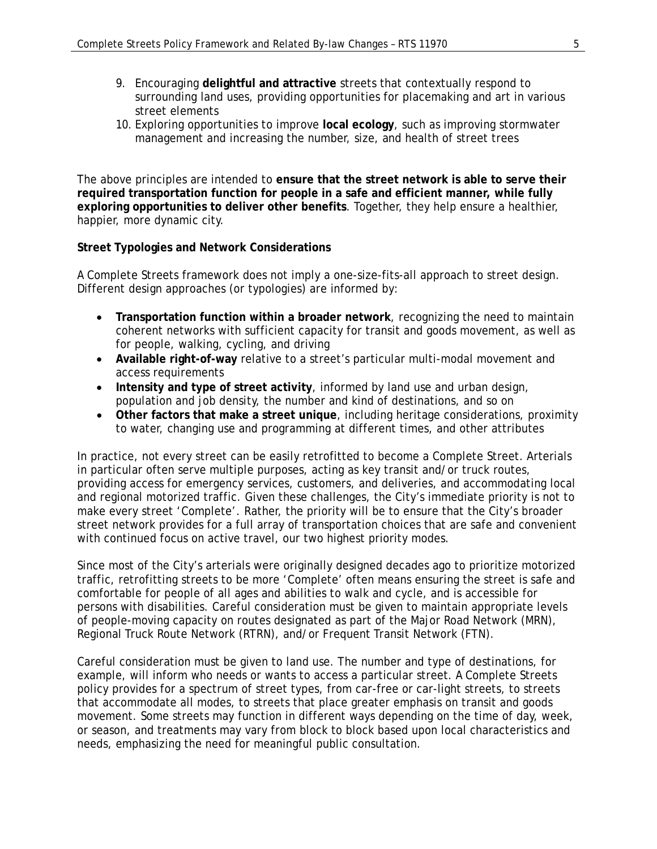- 9. Encouraging **delightful and attractive** streets that contextually respond to surrounding land uses, providing opportunities for placemaking and art in various street elements
- 10. Exploring opportunities to improve **local ecology**, such as improving stormwater management and increasing the number, size, and health of street trees

The above principles are intended to **ensure that the street network is able to serve their required transportation function for people in a safe and efficient manner, while fully exploring opportunities to deliver other benefits**. Together, they help ensure a healthier, happier, more dynamic city.

## **Street Typologies and Network Considerations**

A Complete Streets framework does not imply a one-size-fits-all approach to street design. Different design approaches (or typologies) are informed by:

- **Transportation function within a broader network**, recognizing the need to maintain coherent networks with sufficient capacity for transit and goods movement, as well as for people, walking, cycling, and driving
- **Available right-of-way** relative to a street's particular multi-modal movement and access requirements
- **Intensity and type of street activity**, informed by land use and urban design, population and job density, the number and kind of destinations, and so on
- **Other factors that make a street unique**, including heritage considerations, proximity to water, changing use and programming at different times, and other attributes

In practice, not every street can be easily retrofitted to become a Complete Street. Arterials in particular often serve multiple purposes, acting as key transit and/or truck routes, providing access for emergency services, customers, and deliveries, and accommodating local and regional motorized traffic. Given these challenges, the City's immediate priority is not to make every street 'Complete'. Rather, the priority will be to ensure that the City's broader street network provides for a full array of transportation choices that are safe and convenient with continued focus on active travel, our two highest priority modes.

Since most of the City's arterials were originally designed decades ago to prioritize motorized traffic, retrofitting streets to be more 'Complete' often means ensuring the street is safe and comfortable for people of all ages and abilities to walk and cycle, and is accessible for persons with disabilities. Careful consideration must be given to maintain appropriate levels of people-moving capacity on routes designated as part of the Major Road Network (MRN), Regional Truck Route Network (RTRN), and/or Frequent Transit Network (FTN).

Careful consideration must be given to land use. The number and type of destinations, for example, will inform who needs or wants to access a particular street. A Complete Streets policy provides for a spectrum of street types, from car-free or car-light streets, to streets that accommodate all modes, to streets that place greater emphasis on transit and goods movement. Some streets may function in different ways depending on the time of day, week, or season, and treatments may vary from block to block based upon local characteristics and needs, emphasizing the need for meaningful public consultation.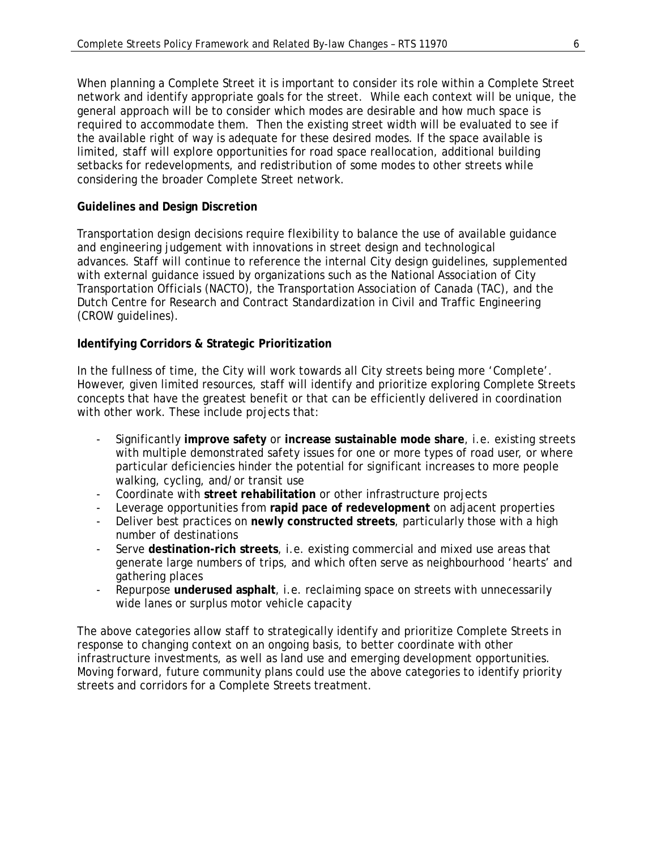When planning a Complete Street it is important to consider its role within a Complete Street network and identify appropriate goals for the street. While each context will be unique, the general approach will be to consider which modes are desirable and how much space is required to accommodate them. Then the existing street width will be evaluated to see if the available right of way is adequate for these desired modes. If the space available is limited, staff will explore opportunities for road space reallocation, additional building setbacks for redevelopments, and redistribution of some modes to other streets while considering the broader Complete Street network.

# **Guidelines and Design Discretion**

Transportation design decisions require flexibility to balance the use of available guidance and engineering judgement with innovations in street design and technological advances. Staff will continue to reference the internal City design guidelines, supplemented with external guidance issued by organizations such as the National Association of City Transportation Officials (NACTO), the Transportation Association of Canada (TAC), and the Dutch Centre for Research and Contract Standardization in Civil and Traffic Engineering (CROW guidelines).

## **Identifying Corridors & Strategic Prioritization**

In the fullness of time, the City will work towards all City streets being more 'Complete'. However, given limited resources, staff will identify and prioritize exploring Complete Streets concepts that have the greatest benefit or that can be efficiently delivered in coordination with other work. These include projects that:

- Significantly **improve safety** or **increase sustainable mode share**, i.e. existing streets with multiple demonstrated safety issues for one or more types of road user, or where particular deficiencies hinder the potential for significant increases to more people walking, cycling, and/or transit use
- Coordinate with **street rehabilitation** or other infrastructure projects
- Leverage opportunities from **rapid pace of redevelopment** on adjacent properties
- Deliver best practices on **newly constructed streets**, particularly those with a high number of destinations
- Serve **destination-rich streets**, i.e. existing commercial and mixed use areas that generate large numbers of trips, and which often serve as neighbourhood 'hearts' and gathering places
- Repurpose underused asphalt, i.e. reclaiming space on streets with unnecessarily wide lanes or surplus motor vehicle capacity

The above categories allow staff to strategically identify and prioritize Complete Streets in response to changing context on an ongoing basis, to better coordinate with other infrastructure investments, as well as land use and emerging development opportunities. Moving forward, future community plans could use the above categories to identify priority streets and corridors for a Complete Streets treatment.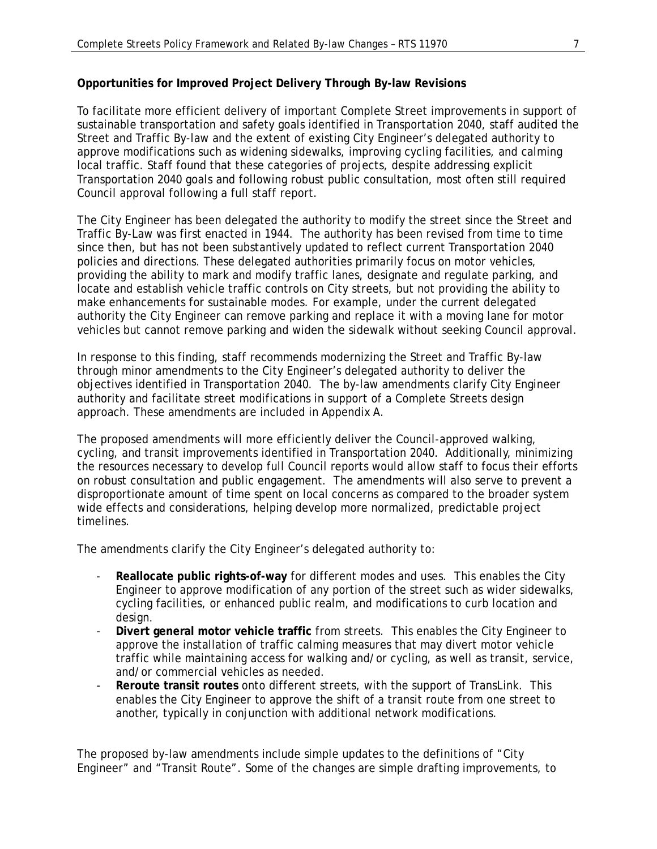## **Opportunities for Improved Project Delivery Through By-law Revisions**

To facilitate more efficient delivery of important Complete Street improvements in support of sustainable transportation and safety goals identified in Transportation 2040, staff audited the Street and Traffic By-law and the extent of existing City Engineer's delegated authority to approve modifications such as widening sidewalks, improving cycling facilities, and calming local traffic. Staff found that these categories of projects, despite addressing explicit Transportation 2040 goals and following robust public consultation, most often still required Council approval following a full staff report.

The City Engineer has been delegated the authority to modify the street since the Street and Traffic By-Law was first enacted in 1944. The authority has been revised from time to time since then, but has not been substantively updated to reflect current Transportation 2040 policies and directions. These delegated authorities primarily focus on motor vehicles, providing the ability to mark and modify traffic lanes, designate and regulate parking, and locate and establish vehicle traffic controls on City streets, but not providing the ability to make enhancements for sustainable modes. For example, under the current delegated authority the City Engineer can remove parking and replace it with a moving lane for motor vehicles but cannot remove parking and widen the sidewalk without seeking Council approval.

In response to this finding, staff recommends modernizing the Street and Traffic By-law through minor amendments to the City Engineer's delegated authority to deliver the objectives identified in Transportation 2040. The by-law amendments clarify City Engineer authority and facilitate street modifications in support of a Complete Streets design approach. These amendments are included in Appendix A.

The proposed amendments will more efficiently deliver the Council-approved walking, cycling, and transit improvements identified in Transportation 2040. Additionally, minimizing the resources necessary to develop full Council reports would allow staff to focus their efforts on robust consultation and public engagement. The amendments will also serve to prevent a disproportionate amount of time spent on local concerns as compared to the broader system wide effects and considerations, helping develop more normalized, predictable project timelines.

The amendments clarify the City Engineer's delegated authority to:

- **Reallocate public rights-of-way** for different modes and uses. This enables the City Engineer to approve modification of any portion of the street such as wider sidewalks, cycling facilities, or enhanced public realm, and modifications to curb location and design.
- **Divert general motor vehicle traffic** from streets. This enables the City Engineer to approve the installation of traffic calming measures that may divert motor vehicle traffic while maintaining access for walking and/or cycling, as well as transit, service, and/or commercial vehicles as needed.
- **Reroute transit routes** onto different streets, with the support of TransLink. This enables the City Engineer to approve the shift of a transit route from one street to another, typically in conjunction with additional network modifications.

The proposed by-law amendments include simple updates to the definitions of "City Engineer" and "Transit Route". Some of the changes are simple drafting improvements, to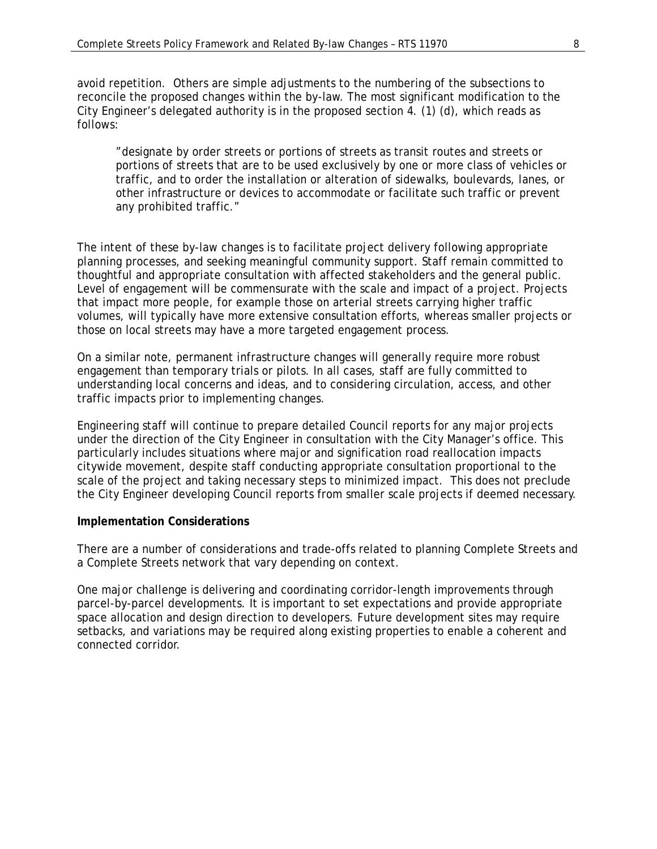avoid repetition. Others are simple adjustments to the numbering of the subsections to reconcile the proposed changes within the by-law. The most significant modification to the City Engineer's delegated authority is in the proposed section 4. (1) (d), which reads as follows:

"designate by order streets or portions of streets as transit routes and streets or portions of streets that are to be used exclusively by one or more class of vehicles or traffic, and to order the installation or alteration of sidewalks, boulevards, lanes, or other infrastructure or devices to accommodate or facilitate such traffic or prevent any prohibited traffic."

The intent of these by-law changes is to facilitate project delivery following appropriate planning processes, and seeking meaningful community support. Staff remain committed to thoughtful and appropriate consultation with affected stakeholders and the general public. Level of engagement will be commensurate with the scale and impact of a project. Projects that impact more people, for example those on arterial streets carrying higher traffic volumes, will typically have more extensive consultation efforts, whereas smaller projects or those on local streets may have a more targeted engagement process.

On a similar note, permanent infrastructure changes will generally require more robust engagement than temporary trials or pilots. In all cases, staff are fully committed to understanding local concerns and ideas, and to considering circulation, access, and other traffic impacts prior to implementing changes.

Engineering staff will continue to prepare detailed Council reports for any major projects under the direction of the City Engineer in consultation with the City Manager's office. This particularly includes situations where major and signification road reallocation impacts citywide movement, despite staff conducting appropriate consultation proportional to the scale of the project and taking necessary steps to minimized impact. This does not preclude the City Engineer developing Council reports from smaller scale projects if deemed necessary.

#### **Implementation Considerations**

There are a number of considerations and trade-offs related to planning Complete Streets and a Complete Streets network that vary depending on context.

One major challenge is delivering and coordinating corridor-length improvements through parcel-by-parcel developments. It is important to set expectations and provide appropriate space allocation and design direction to developers. Future development sites may require setbacks, and variations may be required along existing properties to enable a coherent and connected corridor.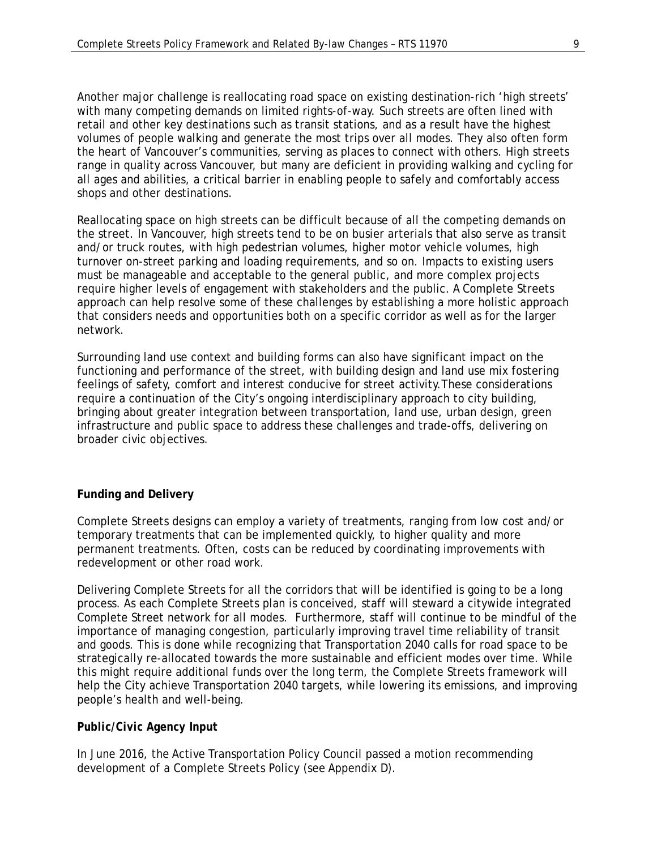Another major challenge is reallocating road space on existing destination-rich 'high streets' with many competing demands on limited rights-of-way. Such streets are often lined with retail and other key destinations such as transit stations, and as a result have the highest volumes of people walking and generate the most trips over all modes. They also often form the heart of Vancouver's communities, serving as places to connect with others. High streets range in quality across Vancouver, but many are deficient in providing walking and cycling for all ages and abilities, a critical barrier in enabling people to safely and comfortably access shops and other destinations.

Reallocating space on high streets can be difficult because of all the competing demands on the street. In Vancouver, high streets tend to be on busier arterials that also serve as transit and/or truck routes, with high pedestrian volumes, higher motor vehicle volumes, high turnover on-street parking and loading requirements, and so on. Impacts to existing users must be manageable and acceptable to the general public, and more complex projects require higher levels of engagement with stakeholders and the public. A Complete Streets approach can help resolve some of these challenges by establishing a more holistic approach that considers needs and opportunities both on a specific corridor as well as for the larger network.

Surrounding land use context and building forms can also have significant impact on the functioning and performance of the street, with building design and land use mix fostering feelings of safety, comfort and interest conducive for street activity.These considerations require a continuation of the City's ongoing interdisciplinary approach to city building, bringing about greater integration between transportation, land use, urban design, green infrastructure and public space to address these challenges and trade-offs, delivering on broader civic objectives.

#### **Funding and Delivery**

Complete Streets designs can employ a variety of treatments, ranging from low cost and/or temporary treatments that can be implemented quickly, to higher quality and more permanent treatments. Often, costs can be reduced by coordinating improvements with redevelopment or other road work.

Delivering Complete Streets for all the corridors that will be identified is going to be a long process. As each Complete Streets plan is conceived, staff will steward a citywide integrated Complete Street network for all modes. Furthermore, staff will continue to be mindful of the importance of managing congestion, particularly improving travel time reliability of transit and goods. This is done while recognizing that Transportation 2040 calls for road space to be strategically re-allocated towards the more sustainable and efficient modes over time. While this might require additional funds over the long term, the Complete Streets framework will help the City achieve Transportation 2040 targets, while lowering its emissions, and improving people's health and well-being.

#### *Public/Civic Agency Input*

In June 2016, the Active Transportation Policy Council passed a motion recommending development of a Complete Streets Policy (see Appendix D).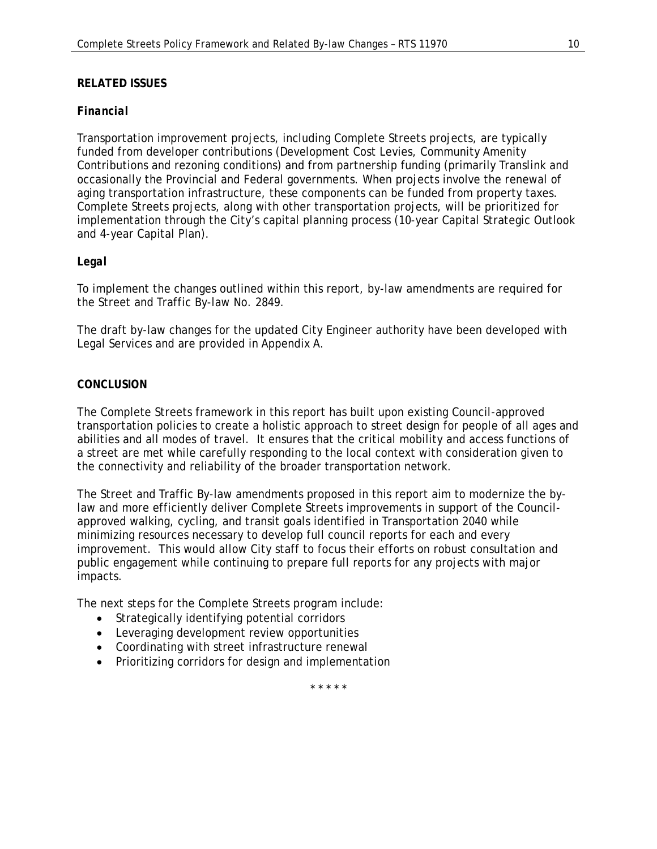## **RELATED ISSUES**

## *Financial*

Transportation improvement projects, including Complete Streets projects, are typically funded from developer contributions (Development Cost Levies, Community Amenity Contributions and rezoning conditions) and from partnership funding (primarily Translink and occasionally the Provincial and Federal governments. When projects involve the renewal of aging transportation infrastructure, these components can be funded from property taxes. Complete Streets projects, along with other transportation projects, will be prioritized for implementation through the City's capital planning process (10-year Capital Strategic Outlook and 4-year Capital Plan).

## *Legal*

To implement the changes outlined within this report, by-law amendments are required for the Street and Traffic By-law No. 2849.

The draft by-law changes for the updated City Engineer authority have been developed with Legal Services and are provided in Appendix A.

### *CONCLUSION*

The Complete Streets framework in this report has built upon existing Council-approved transportation policies to create a holistic approach to street design for people of all ages and abilities and all modes of travel. It ensures that the critical mobility and access functions of a street are met while carefully responding to the local context with consideration given to the connectivity and reliability of the broader transportation network.

The Street and Traffic By-law amendments proposed in this report aim to modernize the bylaw and more efficiently deliver Complete Streets improvements in support of the Councilapproved walking, cycling, and transit goals identified in Transportation 2040 while minimizing resources necessary to develop full council reports for each and every improvement. This would allow City staff to focus their efforts on robust consultation and public engagement while continuing to prepare full reports for any projects with major impacts.

The next steps for the Complete Streets program include:

- Strategically identifying potential corridors
- Leveraging development review opportunities
- Coordinating with street infrastructure renewal
- Prioritizing corridors for design and implementation

\* \* \* \* \*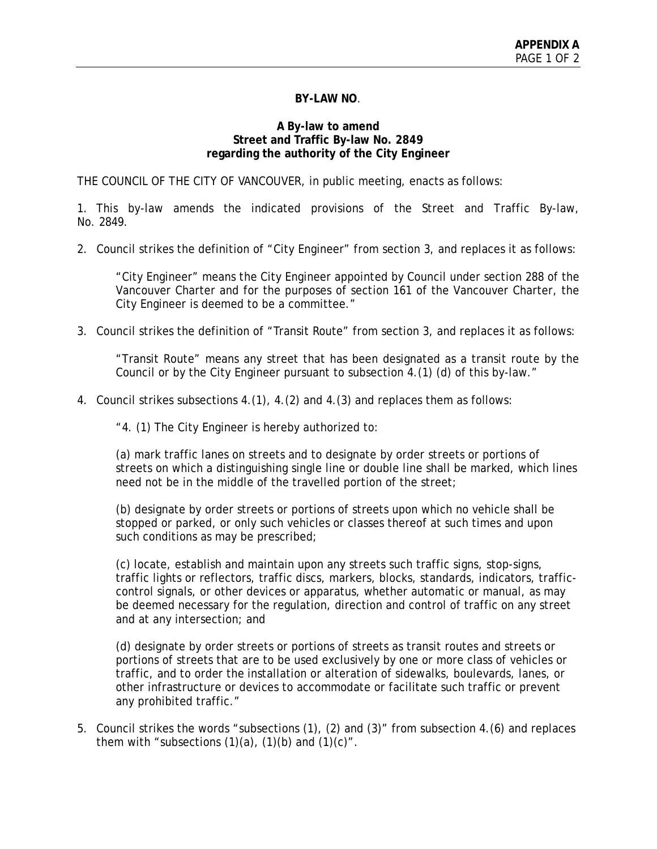#### **BY-LAW NO**.

#### **A By-law to amend Street and Traffic By-law No. 2849 regarding the authority of the City Engineer**

THE COUNCIL OF THE CITY OF VANCOUVER, in public meeting, enacts as follows:

1. This by-law amends the indicated provisions of the Street and Traffic By-law, No. 2849.

2. Council strikes the definition of "City Engineer" from section 3, and replaces it as follows:

"City Engineer" means the City Engineer appointed by Council under section 288 of the Vancouver Charter and for the purposes of section 161 of the Vancouver Charter, the City Engineer is deemed to be a committee."

3. Council strikes the definition of "Transit Route" from section 3, and replaces it as follows:

"Transit Route" means any street that has been designated as a transit route by the Council or by the City Engineer pursuant to subsection 4.(1) (d) of this by-law."

4. Council strikes subsections 4.(1), 4.(2) and 4.(3) and replaces them as follows:

"4. (1) The City Engineer is hereby authorized to:

(a) mark traffic lanes on streets and to designate by order streets or portions of streets on which a distinguishing single line or double line shall be marked, which lines need not be in the middle of the travelled portion of the street;

(b) designate by order streets or portions of streets upon which no vehicle shall be stopped or parked, or only such vehicles or classes thereof at such times and upon such conditions as may be prescribed;

(c) locate, establish and maintain upon any streets such traffic signs, stop-signs, traffic lights or reflectors, traffic discs, markers, blocks, standards, indicators, trafficcontrol signals, or other devices or apparatus, whether automatic or manual, as may be deemed necessary for the regulation, direction and control of traffic on any street and at any intersection; and

(d) designate by order streets or portions of streets as transit routes and streets or portions of streets that are to be used exclusively by one or more class of vehicles or traffic, and to order the installation or alteration of sidewalks, boulevards, lanes, or other infrastructure or devices to accommodate or facilitate such traffic or prevent any prohibited traffic."

5. Council strikes the words "subsections (1), (2) and (3)" from subsection 4.(6) and replaces them with "subsections  $(1)(a)$ ,  $(1)(b)$  and  $(1)(c)$ ".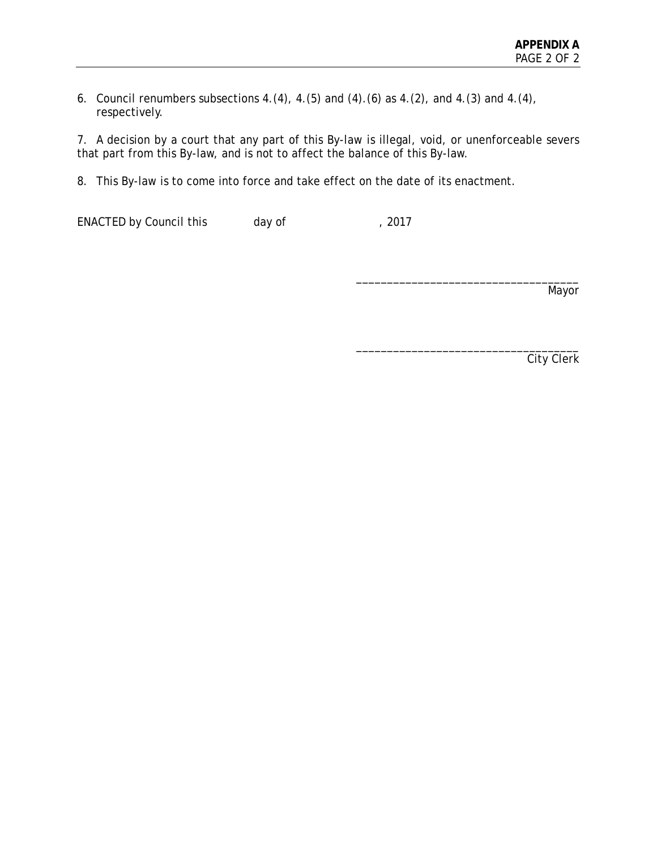6. Council renumbers subsections 4.(4), 4.(5) and (4).(6) as 4.(2), and 4.(3) and 4.(4), respectively.

7. A decision by a court that any part of this By-law is illegal, void, or unenforceable severs that part from this By-law, and is not to affect the balance of this By-law.

8. This By-law is to come into force and take effect on the date of its enactment.

ENACTED by Council this day of , 2017

Mayor

\_\_\_\_\_\_\_\_\_\_\_\_\_\_\_\_\_\_\_\_\_\_\_\_\_\_\_\_\_\_\_\_\_\_\_\_

\_\_\_\_\_\_\_\_\_\_\_\_\_\_\_\_\_\_\_\_\_\_\_\_\_\_\_\_\_\_\_\_\_\_\_\_

City Clerk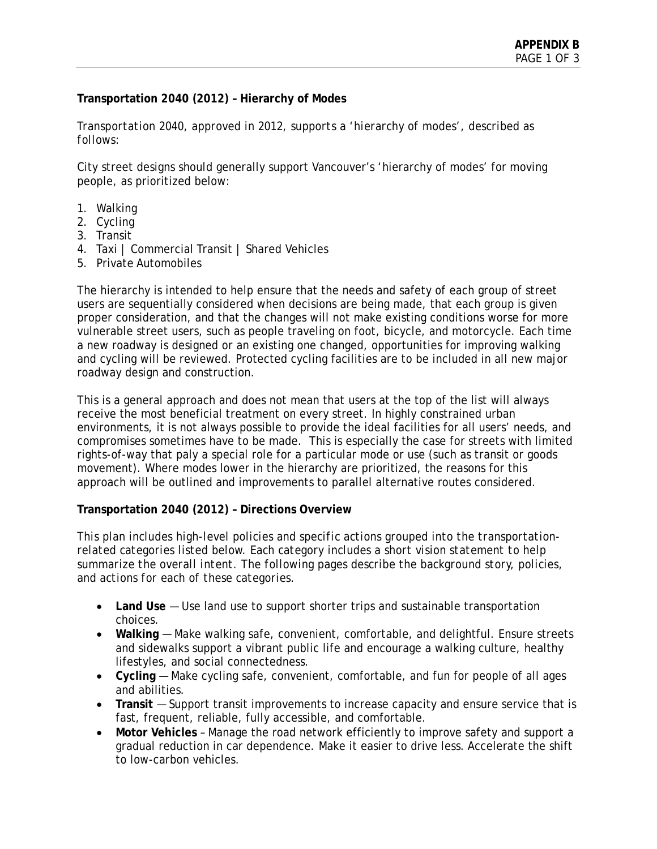## **Transportation 2040 (2012) – Hierarchy of Modes**

*Transportation 2040, approved in 2012, supports a 'hierarchy of modes', described as follows:*

City street designs should generally support Vancouver's 'hierarchy of modes' for moving people, as prioritized below:

- 1. Walking
- 2. Cycling
- 3. Transit
- 4. Taxi | Commercial Transit | Shared Vehicles
- 5. Private Automobiles

The hierarchy is intended to help ensure that the needs and safety of each group of street users are sequentially considered when decisions are being made, that each group is given proper consideration, and that the changes will not make existing conditions worse for more vulnerable street users, such as people traveling on foot, bicycle, and motorcycle. Each time a new roadway is designed or an existing one changed, opportunities for improving walking and cycling will be reviewed. Protected cycling facilities are to be included in all new major roadway design and construction.

This is a general approach and does not mean that users at the top of the list will always receive the most beneficial treatment on every street. In highly constrained urban environments, it is not always possible to provide the ideal facilities for all users' needs, and compromises sometimes have to be made. This is especially the case for streets with limited rights-of-way that paly a special role for a particular mode or use (such as transit or goods movement). Where modes lower in the hierarchy are prioritized, the reasons for this approach will be outlined and improvements to parallel alternative routes considered.

## **Transportation 2040 (2012) – Directions Overview**

*This plan includes high-level policies and specific actions grouped into the transportationrelated categories listed below. Each category includes a short vision statement to help summarize the overall intent. The following pages describe the background story, policies, and actions for each of these categories.*

- **Land Use** Use land use to support shorter trips and sustainable transportation choices.
- Walking Make walking safe, convenient, comfortable, and delightful. Ensure streets and sidewalks support a vibrant public life and encourage a walking culture, healthy lifestyles, and social connectedness.
- **Cycling** Make cycling safe, convenient, comfortable, and fun for people of all ages and abilities.
- **Transit** Support transit improvements to increase capacity and ensure service that is fast, frequent, reliable, fully accessible, and comfortable.
- **Motor Vehicles** Manage the road network efficiently to improve safety and support a gradual reduction in car dependence. Make it easier to drive less. Accelerate the shift to low-carbon vehicles.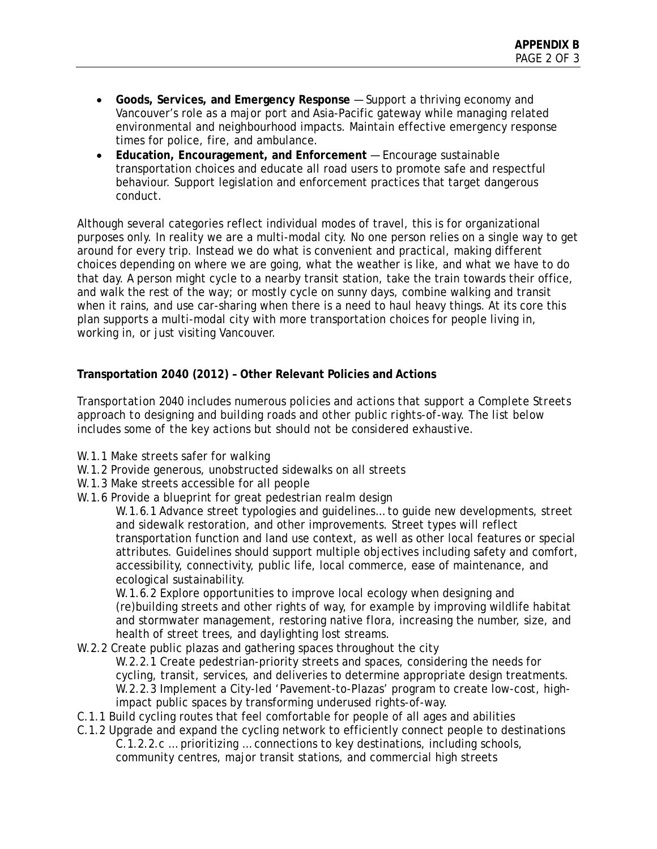- **Goods, Services, and Emergency Response** Support a thriving economy and Vancouver's role as a major port and Asia-Pacific gateway while managing related environmental and neighbourhood impacts. Maintain effective emergency response times for police, fire, and ambulance.
- **Education, Encouragement, and Enforcement** Encourage sustainable transportation choices and educate all road users to promote safe and respectful behaviour. Support legislation and enforcement practices that target dangerous conduct.

Although several categories reflect individual modes of travel, this is for organizational purposes only. In reality we are a multi-modal city. No one person relies on a single way to get around for every trip. Instead we do what is convenient and practical, making different choices depending on where we are going, what the weather is like, and what we have to do that day. A person might cycle to a nearby transit station, take the train towards their office, and walk the rest of the way; or mostly cycle on sunny days, combine walking and transit when it rains, and use car-sharing when there is a need to haul heavy things. At its core this plan supports a multi-modal city with more transportation choices for people living in, working in, or just visiting Vancouver.

# **Transportation 2040 (2012) – Other Relevant Policies and Actions**

*Transportation 2040 includes numerous policies and actions that support a Complete Streets approach to designing and building roads and other public rights-of-way. The list below includes some of the key actions but should not be considered exhaustive.*

- W.1.1 Make streets safer for walking
- W.1.2 Provide generous, unobstructed sidewalks on all streets
- W.1.3 Make streets accessible for all people
- W.1.6 Provide a blueprint for great pedestrian realm design

W.1.6.1 Advance street typologies and guidelines… to guide new developments, street and sidewalk restoration, and other improvements. Street types will reflect transportation function and land use context, as well as other local features or special attributes. Guidelines should support multiple objectives including safety and comfort, accessibility, connectivity, public life, local commerce, ease of maintenance, and ecological sustainability.

W.1.6.2 Explore opportunities to improve local ecology when designing and (re)building streets and other rights of way, for example by improving wildlife habitat and stormwater management, restoring native flora, increasing the number, size, and health of street trees, and daylighting lost streams.

- W.2.2 Create public plazas and gathering spaces throughout the city W.2.2.1 Create pedestrian-priority streets and spaces, considering the needs for cycling, transit, services, and deliveries to determine appropriate design treatments. W.2.2.3 Implement a City-led 'Pavement-to-Plazas' program to create low-cost, highimpact public spaces by transforming underused rights-of-way.
- C.1.1 Build cycling routes that feel comfortable for people of all ages and abilities
- C.1.2 Upgrade and expand the cycling network to efficiently connect people to destinations C.1.2.2.c … prioritizing … connections to key destinations, including schools, community centres, major transit stations, and commercial high streets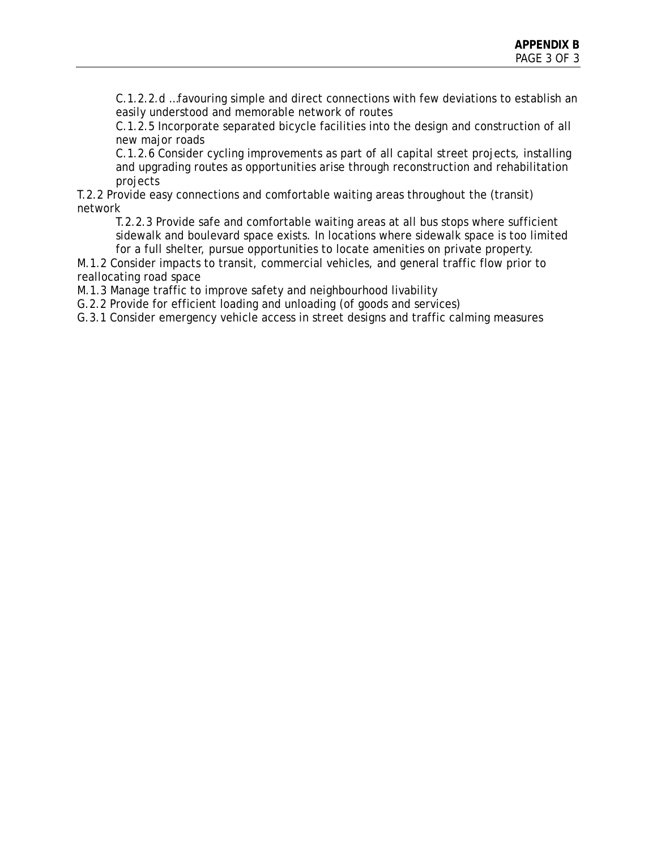C.1.2.2.d …favouring simple and direct connections with few deviations to establish an easily understood and memorable network of routes

C.1.2.5 Incorporate separated bicycle facilities into the design and construction of all new major roads

C.1.2.6 Consider cycling improvements as part of all capital street projects, installing and upgrading routes as opportunities arise through reconstruction and rehabilitation projects

T.2.2 Provide easy connections and comfortable waiting areas throughout the (transit) network

T.2.2.3 Provide safe and comfortable waiting areas at all bus stops where sufficient sidewalk and boulevard space exists. In locations where sidewalk space is too limited for a full shelter, pursue opportunities to locate amenities on private property.

M.1.2 Consider impacts to transit, commercial vehicles, and general traffic flow prior to reallocating road space

M.1.3 Manage traffic to improve safety and neighbourhood livability

G.2.2 Provide for efficient loading and unloading (of goods and services)

G.3.1 Consider emergency vehicle access in street designs and traffic calming measures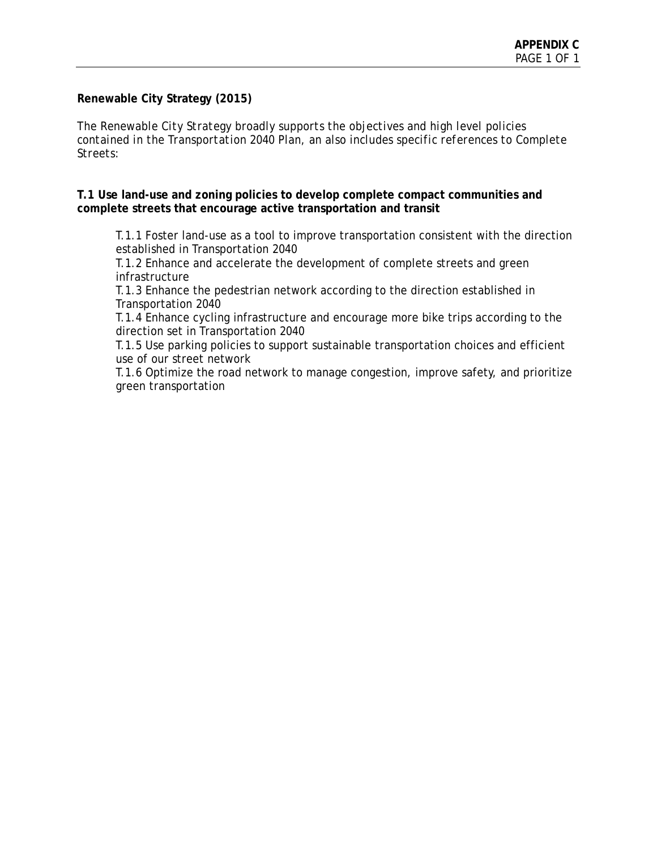## **Renewable City Strategy (2015)**

*The Renewable City Strategy broadly supports the objectives and high level policies contained in the Transportation 2040 Plan, an also includes specific references to Complete Streets:*

**T.1 Use land-use and zoning policies to develop complete compact communities and complete streets that encourage active transportation and transit**

T.1.1 Foster land-use as a tool to improve transportation consistent with the direction established in Transportation 2040

T.1.2 Enhance and accelerate the development of complete streets and green infrastructure

T.1.3 Enhance the pedestrian network according to the direction established in Transportation 2040

T.1.4 Enhance cycling infrastructure and encourage more bike trips according to the direction set in Transportation 2040

T.1.5 Use parking policies to support sustainable transportation choices and efficient use of our street network

T.1.6 Optimize the road network to manage congestion, improve safety, and prioritize green transportation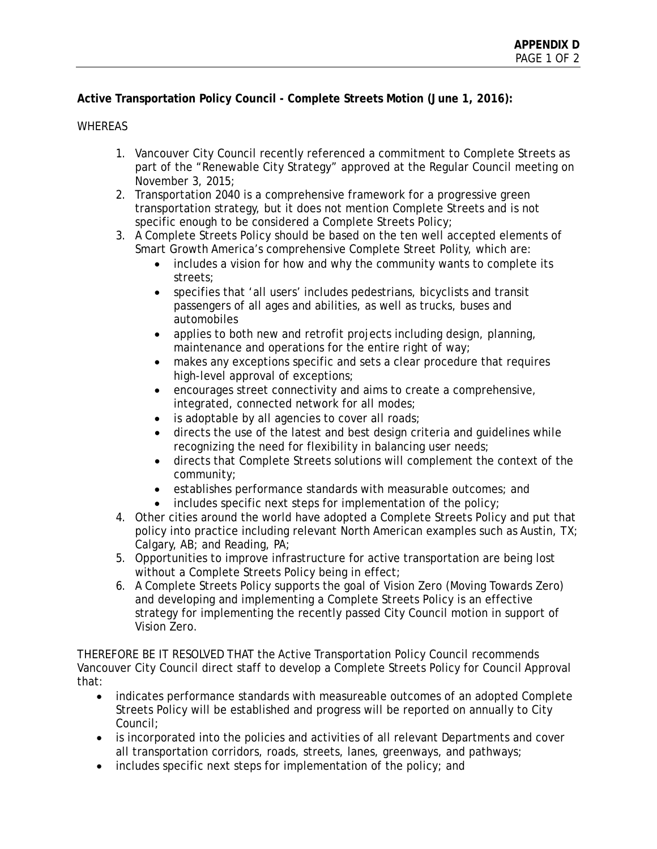# **Active Transportation Policy Council - Complete Streets Motion (June 1, 2016):**

### WHEREAS

- 1. Vancouver City Council recently referenced a commitment to Complete Streets as part of the "Renewable City Strategy" approved at the Regular Council meeting on November 3, 2015;
- 2. Transportation 2040 is a comprehensive framework for a progressive green transportation strategy, but it does not mention Complete Streets and is not specific enough to be considered a Complete Streets Policy;
- 3. A Complete Streets Policy should be based on the ten well accepted elements of Smart Growth America's comprehensive Complete Street Polity, which are:
	- includes a vision for how and why the community wants to complete its streets;
	- specifies that 'all users' includes pedestrians, bicyclists and transit passengers of all ages and abilities, as well as trucks, buses and automobiles
	- applies to both new and retrofit projects including design, planning, maintenance and operations for the entire right of way;
	- makes any exceptions specific and sets a clear procedure that requires high-level approval of exceptions;
	- encourages street connectivity and aims to create a comprehensive, integrated, connected network for all modes;
	- is adoptable by all agencies to cover all roads;
	- directs the use of the latest and best design criteria and quidelines while recognizing the need for flexibility in balancing user needs;
	- directs that Complete Streets solutions will complement the context of the community;
	- establishes performance standards with measurable outcomes; and
	- includes specific next steps for implementation of the policy;
- 4. Other cities around the world have adopted a Complete Streets Policy and put that policy into practice including relevant North American examples such as Austin, TX; Calgary, AB; and Reading, PA;
- 5. Opportunities to improve infrastructure for active transportation are being lost without a Complete Streets Policy being in effect;
- 6. A Complete Streets Policy supports the goal of Vision Zero (Moving Towards Zero) and developing and implementing a Complete Streets Policy is an effective strategy for implementing the recently passed City Council motion in support of Vision Zero.

THEREFORE BE IT RESOLVED THAT the Active Transportation Policy Council recommends Vancouver City Council direct staff to develop a Complete Streets Policy for Council Approval that:

- indicates performance standards with measureable outcomes of an adopted Complete Streets Policy will be established and progress will be reported on annually to City Council;
- is incorporated into the policies and activities of all relevant Departments and cover all transportation corridors, roads, streets, lanes, greenways, and pathways;
- includes specific next steps for implementation of the policy; and